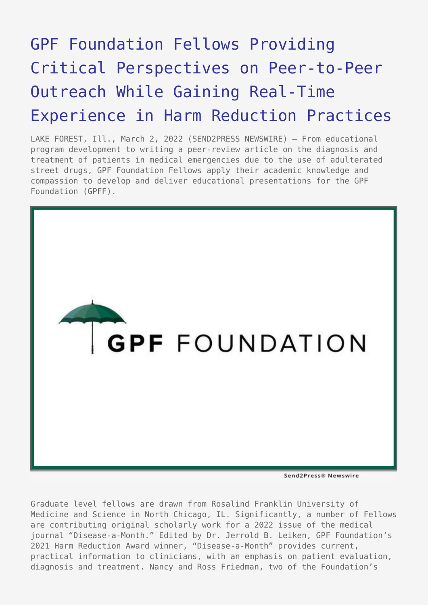## [GPF Foundation Fellows Providing](https://www.send2press.com/wire/gpf-foundation-fellows-providing-critical-perspectives-on-peer-to-peer-outreach-while-gaining-real-time-experience-in-harm-reduction-practices/) [Critical Perspectives on Peer-to-Peer](https://www.send2press.com/wire/gpf-foundation-fellows-providing-critical-perspectives-on-peer-to-peer-outreach-while-gaining-real-time-experience-in-harm-reduction-practices/) [Outreach While Gaining Real-Time](https://www.send2press.com/wire/gpf-foundation-fellows-providing-critical-perspectives-on-peer-to-peer-outreach-while-gaining-real-time-experience-in-harm-reduction-practices/) [Experience in Harm Reduction Practices](https://www.send2press.com/wire/gpf-foundation-fellows-providing-critical-perspectives-on-peer-to-peer-outreach-while-gaining-real-time-experience-in-harm-reduction-practices/)

LAKE FOREST, Ill., March 2, 2022 (SEND2PRESS NEWSWIRE) — From educational program development to writing a peer-review article on the diagnosis and treatment of patients in medical emergencies due to the use of adulterated street drugs, GPF Foundation Fellows apply their academic knowledge and compassion to develop and deliver educational presentations for the GPF Foundation (GPFF).



Graduate level fellows are drawn from Rosalind Franklin University of Medicine and Science in North Chicago, IL. Significantly, a number of Fellows are contributing original scholarly work for a 2022 issue of the medical journal "Disease-a-Month." Edited by Dr. Jerrold B. Leiken, GPF Foundation's 2021 Harm Reduction Award winner, "Disease-a-Month" provides current, practical information to clinicians, with an emphasis on patient evaluation, diagnosis and treatment. Nancy and Ross Friedman, two of the Foundation's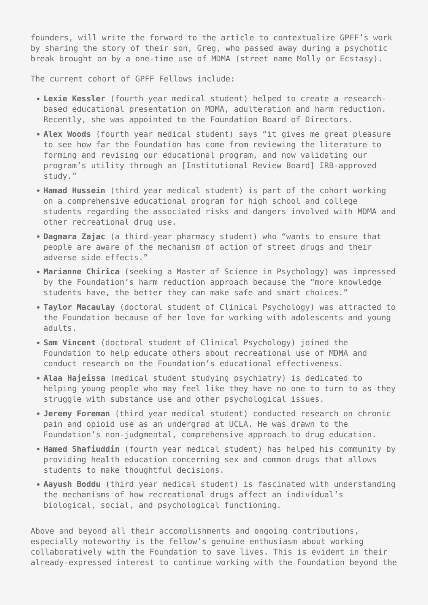founders, will write the forward to the article to contextualize GPFF's work by sharing the story of their son, Greg, who passed away during a psychotic break brought on by a one-time use of MDMA (street name Molly or Ecstasy).

The current cohort of GPFF Fellows include:

- **Lexie Kessler** (fourth year medical student) helped to create a researchbased educational presentation on MDMA, adulteration and harm reduction. Recently, she was appointed to the Foundation Board of Directors.
- **Alex Woods** (fourth year medical student) says "it gives me great pleasure to see how far the Foundation has come from reviewing the literature to forming and revising our educational program, and now validating our program's utility through an [Institutional Review Board] IRB-approved study."
- **Hamad Hussein** (third year medical student) is part of the cohort working on a comprehensive educational program for high school and college students regarding the associated risks and dangers involved with MDMA and other recreational drug use.
- **Dagmara Zajac** (a third-year pharmacy student) who "wants to ensure that people are aware of the mechanism of action of street drugs and their adverse side effects."
- **Marianne Chirica** (seeking a Master of Science in Psychology) was impressed by the Foundation's harm reduction approach because the "more knowledge students have, the better they can make safe and smart choices."
- **Taylor Macaulay** (doctoral student of Clinical Psychology) was attracted to the Foundation because of her love for working with adolescents and young adults.
- **Sam Vincent** (doctoral student of Clinical Psychology) joined the Foundation to help educate others about recreational use of MDMA and conduct research on the Foundation's educational effectiveness.
- **Alaa Hajeissa** (medical student studying psychiatry) is dedicated to helping young people who may feel like they have no one to turn to as they struggle with substance use and other psychological issues.
- **Jeremy Foreman** (third year medical student) conducted research on chronic pain and opioid use as an undergrad at UCLA. He was drawn to the Foundation's non-judgmental, comprehensive approach to drug education.
- **Hamed Shafiuddin** (fourth year medical student) has helped his community by providing health education concerning sex and common drugs that allows students to make thoughtful decisions.
- **Aayush Boddu** (third year medical student) is fascinated with understanding the mechanisms of how recreational drugs affect an individual's biological, social, and psychological functioning.

Above and beyond all their accomplishments and ongoing contributions, especially noteworthy is the fellow's genuine enthusiasm about working collaboratively with the Foundation to save lives. This is evident in their already-expressed interest to continue working with the Foundation beyond the